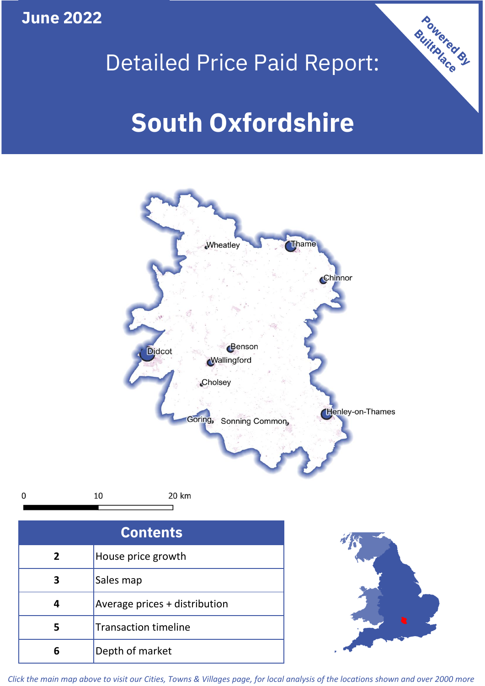**June 2022**

 $\mathbf 0$ 





| <b>Contents</b> |                               |  |  |
|-----------------|-------------------------------|--|--|
| 2               | House price growth            |  |  |
| 3               | Sales map                     |  |  |
|                 | Average prices + distribution |  |  |
| 5               | <b>Transaction timeline</b>   |  |  |
|                 | Depth of market               |  |  |



*Click the main map above to visit our Cities, Towns & Villages page, for local analysis of the locations shown and over 2000 more*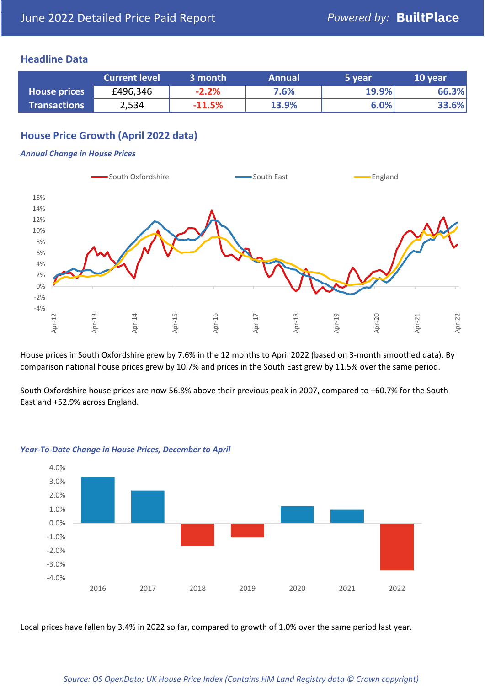## **Headline Data**

|                     | <b>Current level</b> | 3 month  | <b>Annual</b> | 5 year | 10 year |
|---------------------|----------------------|----------|---------------|--------|---------|
| <b>House prices</b> | £496,346             | $-2.2%$  | 7.6%          | 19.9%  | 66.3%   |
| <b>Transactions</b> | 2,534                | $-11.5%$ | 13.9%         | 6.0%   | 33.6%   |

## **House Price Growth (April 2022 data)**

#### *Annual Change in House Prices*



House prices in South Oxfordshire grew by 7.6% in the 12 months to April 2022 (based on 3-month smoothed data). By comparison national house prices grew by 10.7% and prices in the South East grew by 11.5% over the same period.

South Oxfordshire house prices are now 56.8% above their previous peak in 2007, compared to +60.7% for the South East and +52.9% across England.



#### *Year-To-Date Change in House Prices, December to April*

Local prices have fallen by 3.4% in 2022 so far, compared to growth of 1.0% over the same period last year.

### *Source: OS OpenData; UK House Price Index (Contains HM Land Registry data © Crown copyright)*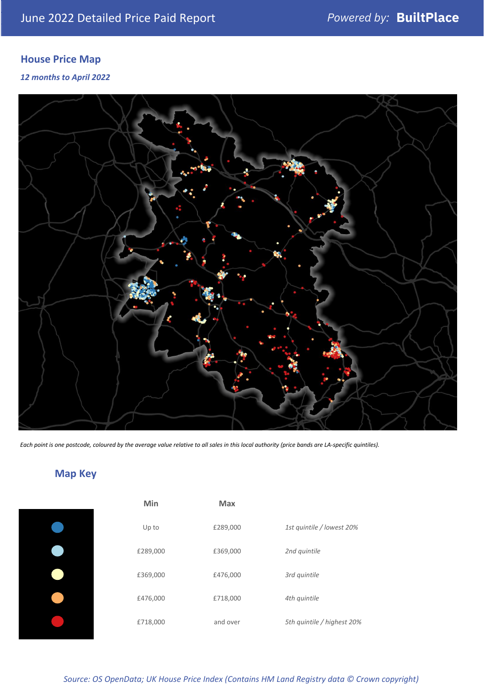# **House Price Map**

*12 months to April 2022*



*Each point is one postcode, coloured by the average value relative to all sales in this local authority (price bands are LA-specific quintiles).*

# **Map Key**

| Min      | Max      |                            |
|----------|----------|----------------------------|
| Up to    | £289,000 | 1st quintile / lowest 20%  |
| £289,000 | £369,000 | 2nd quintile               |
| £369,000 | £476,000 | 3rd quintile               |
| £476,000 | £718,000 | 4th quintile               |
| £718,000 | and over | 5th quintile / highest 20% |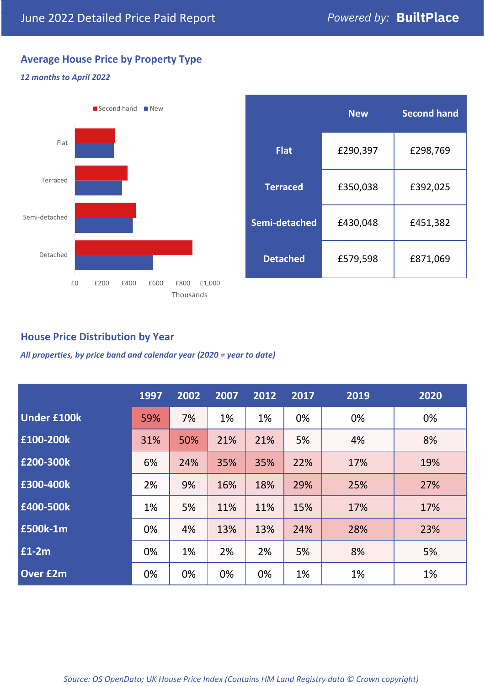## **Average House Price by Property Type**

## *12 months to April 2022*



|                 | <b>New</b> | <b>Second hand</b> |  |  |
|-----------------|------------|--------------------|--|--|
| <b>Flat</b>     | £290,397   | £298,769           |  |  |
| <b>Terraced</b> | £350,038   | £392,025           |  |  |
| Semi-detached   | £430,048   | £451,382           |  |  |
| <b>Detached</b> | £579,598   | £871,069           |  |  |

## **House Price Distribution by Year**

*All properties, by price band and calendar year (2020 = year to date)*

|                    | 1997 | 2002 | 2007 | 2012 | 2017 | 2019 | 2020 |
|--------------------|------|------|------|------|------|------|------|
| <b>Under £100k</b> | 59%  | 7%   | 1%   | 1%   | 0%   | 0%   | 0%   |
| £100-200k          | 31%  | 50%  | 21%  | 21%  | 5%   | 4%   | 8%   |
| E200-300k          | 6%   | 24%  | 35%  | 35%  | 22%  | 17%  | 19%  |
| £300-400k          | 2%   | 9%   | 16%  | 18%  | 29%  | 25%  | 27%  |
| £400-500k          | 1%   | 5%   | 11%  | 11%  | 15%  | 17%  | 17%  |
| <b>£500k-1m</b>    | 0%   | 4%   | 13%  | 13%  | 24%  | 28%  | 23%  |
| £1-2m              | 0%   | 1%   | 2%   | 2%   | 5%   | 8%   | 5%   |
| <b>Over £2m</b>    | 0%   | 0%   | 0%   | 0%   | 1%   | 1%   | 1%   |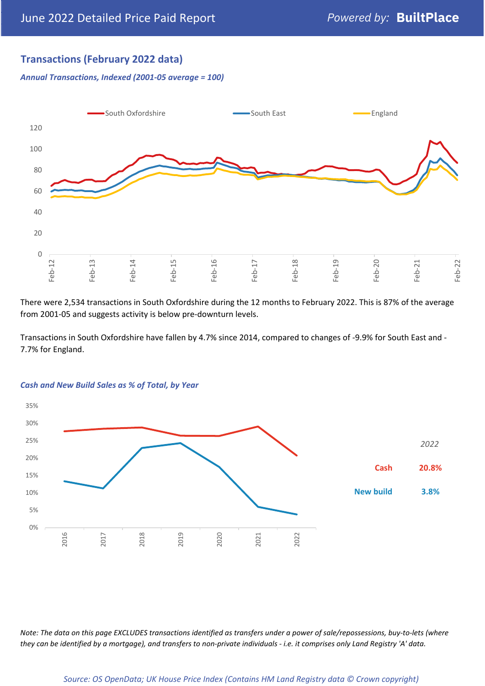## **Transactions (February 2022 data)**

*Annual Transactions, Indexed (2001-05 average = 100)*



There were 2,534 transactions in South Oxfordshire during the 12 months to February 2022. This is 87% of the average from 2001-05 and suggests activity is below pre-downturn levels.

Transactions in South Oxfordshire have fallen by 4.7% since 2014, compared to changes of -9.9% for South East and - 7.7% for England.



## *Cash and New Build Sales as % of Total, by Year*

*Note: The data on this page EXCLUDES transactions identified as transfers under a power of sale/repossessions, buy-to-lets (where they can be identified by a mortgage), and transfers to non-private individuals - i.e. it comprises only Land Registry 'A' data.*